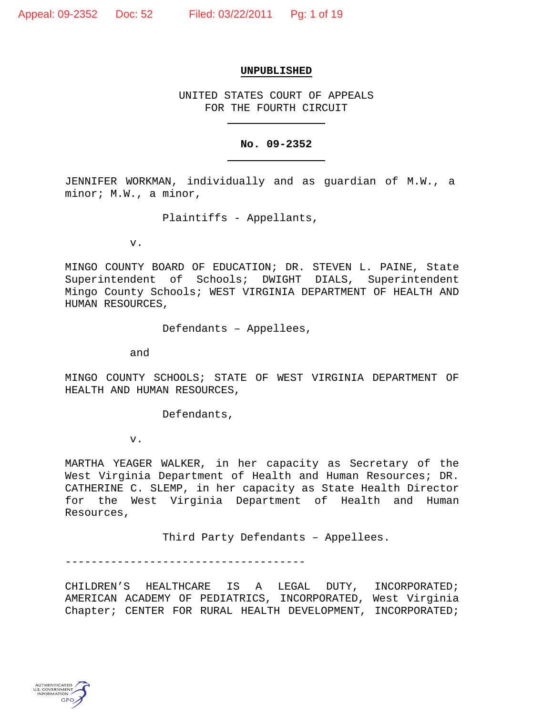# **UNPUBLISHED**

UNITED STATES COURT OF APPEALS FOR THE FOURTH CIRCUIT

## **No. 09-2352**

JENNIFER WORKMAN, individually and as guardian of M.W., a minor; M.W., a minor,

Plaintiffs - Appellants,

v.

MINGO COUNTY BOARD OF EDUCATION; DR. STEVEN L. PAINE, State Superintendent of Schools; DWIGHT DIALS, Superintendent Mingo County Schools; WEST VIRGINIA DEPARTMENT OF HEALTH AND HUMAN RESOURCES,

Defendants – Appellees,

and

MINGO COUNTY SCHOOLS; STATE OF WEST VIRGINIA DEPARTMENT OF HEALTH AND HUMAN RESOURCES,

Defendants,

v.

MARTHA YEAGER WALKER, in her capacity as Secretary of the West Virginia Department of Health and Human Resources; DR. CATHERINE C. SLEMP, in her capacity as State Health Director for the West Virginia Department of Health and Human Resources,

Third Party Defendants – Appellees.

-------------------------------------

CHILDREN'S HEALTHCARE IS A LEGAL DUTY, INCORPORATED; AMERICAN ACADEMY OF PEDIATRICS, INCORPORATED, West Virginia Chapter; CENTER FOR RURAL HEALTH DEVELOPMENT, INCORPORATED;

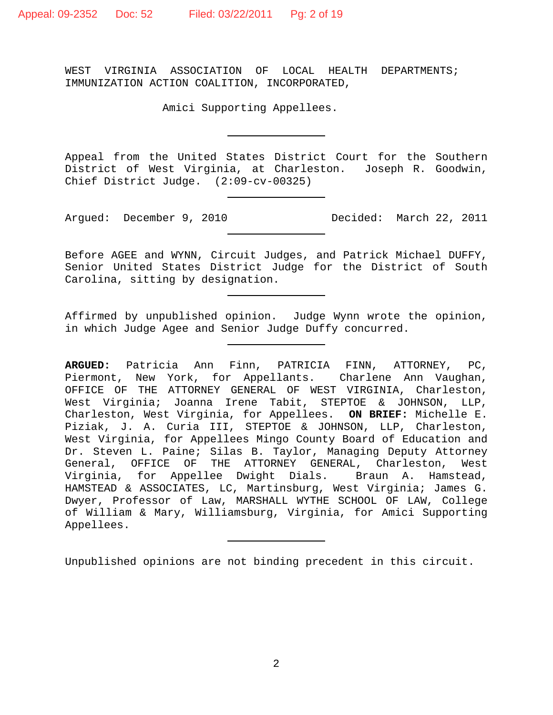WEST VIRGINIA ASSOCIATION OF LOCAL HEALTH DEPARTMENTS; IMMUNIZATION ACTION COALITION, INCORPORATED,

Amici Supporting Appellees.

Appeal from the United States District Court for the Southern District of West Virginia, at Charleston. Joseph R. Goodwin, Chief District Judge. (2:09-cv-00325)

Argued: December 9, 2010 Decided: March 22, 2011

Before AGEE and WYNN, Circuit Judges, and Patrick Michael DUFFY, Senior United States District Judge for the District of South Carolina, sitting by designation.

Affirmed by unpublished opinion. Judge Wynn wrote the opinion, in which Judge Agee and Senior Judge Duffy concurred.

**ARGUED:** Patricia Ann Finn, PATRICIA FINN, ATTORNEY, PC, Piermont, New York, for Appellants. Charlene Ann Vaughan, OFFICE OF THE ATTORNEY GENERAL OF WEST VIRGINIA, Charleston, West Virginia; Joanna Irene Tabit, STEPTOE & JOHNSON, LLP, Charleston, West Virginia, for Appellees. **ON BRIEF:** Michelle E. Piziak, J. A. Curia III, STEPTOE & JOHNSON, LLP, Charleston, West Virginia, for Appellees Mingo County Board of Education and Dr. Steven L. Paine; Silas B. Taylor, Managing Deputy Attorney General, OFFICE OF THE ATTORNEY GENERAL, Charleston, West Virginia, for Appellee Dwight Dials. Braun A. Hamstead, HAMSTEAD & ASSOCIATES, LC, Martinsburg, West Virginia; James G. Dwyer, Professor of Law, MARSHALL WYTHE SCHOOL OF LAW, College of William & Mary, Williamsburg, Virginia, for Amici Supporting Appellees.

Unpublished opinions are not binding precedent in this circuit.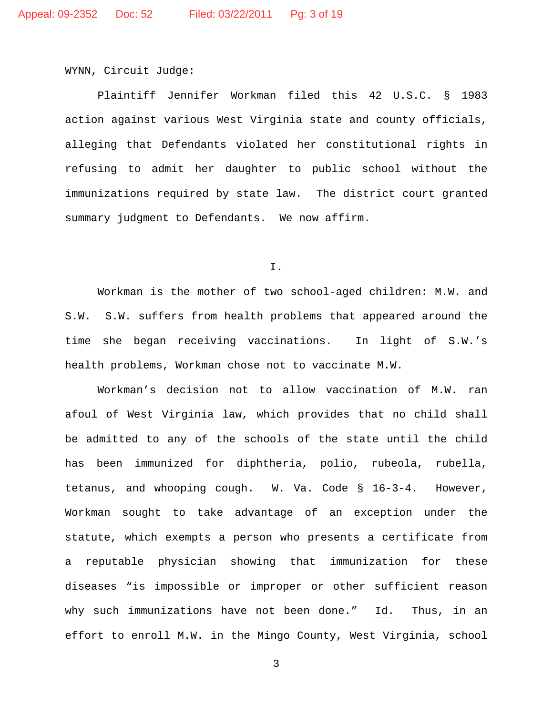WYNN, Circuit Judge:

Plaintiff Jennifer Workman filed this 42 U.S.C. § 1983 action against various West Virginia state and county officials, alleging that Defendants violated her constitutional rights in refusing to admit her daughter to public school without the immunizations required by state law. The district court granted summary judgment to Defendants. We now affirm.

I.

Workman is the mother of two school-aged children: M.W. and S.W. S.W. suffers from health problems that appeared around the time she began receiving vaccinations. In light of S.W.'s health problems, Workman chose not to vaccinate M.W.

Workman's decision not to allow vaccination of M.W. ran afoul of West Virginia law, which provides that no child shall be admitted to any of the schools of the state until the child has been immunized for diphtheria, polio, rubeola, rubella, tetanus, and whooping cough. W. Va. Code § 16-3-4. However, Workman sought to take advantage of an exception under the statute, which exempts a person who presents a certificate from a reputable physician showing that immunization for these diseases "is impossible or improper or other sufficient reason why such immunizations have not been done." Id. Thus, in an effort to enroll M.W. in the Mingo County, West Virginia, school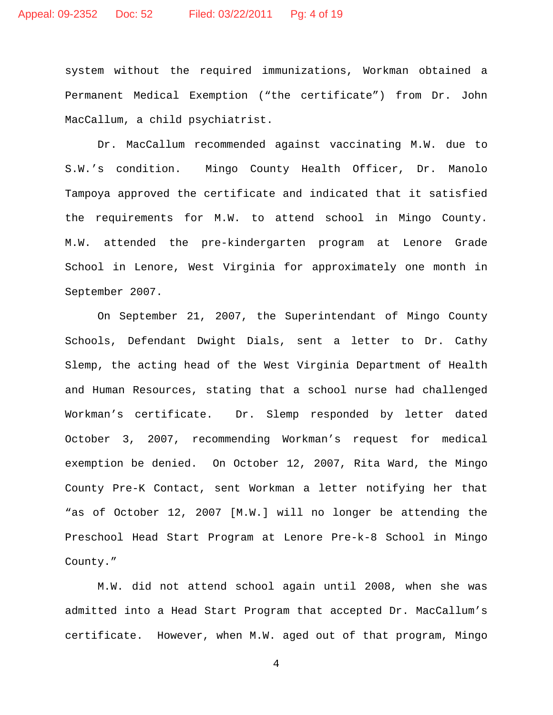system without the required immunizations, Workman obtained a Permanent Medical Exemption ("the certificate") from Dr. John MacCallum, a child psychiatrist.

Dr. MacCallum recommended against vaccinating M.W. due to S.W.'s condition. Mingo County Health Officer, Dr. Manolo Tampoya approved the certificate and indicated that it satisfied the requirements for M.W. to attend school in Mingo County. M.W. attended the pre-kindergarten program at Lenore Grade School in Lenore, West Virginia for approximately one month in September 2007.

On September 21, 2007, the Superintendant of Mingo County Schools, Defendant Dwight Dials, sent a letter to Dr. Cathy Slemp, the acting head of the West Virginia Department of Health and Human Resources, stating that a school nurse had challenged Workman's certificate. Dr. Slemp responded by letter dated October 3, 2007, recommending Workman's request for medical exemption be denied. On October 12, 2007, Rita Ward, the Mingo County Pre-K Contact, sent Workman a letter notifying her that "as of October 12, 2007 [M.W.] will no longer be attending the Preschool Head Start Program at Lenore Pre-k-8 School in Mingo County."

M.W. did not attend school again until 2008, when she was admitted into a Head Start Program that accepted Dr. MacCallum's certificate. However, when M.W. aged out of that program, Mingo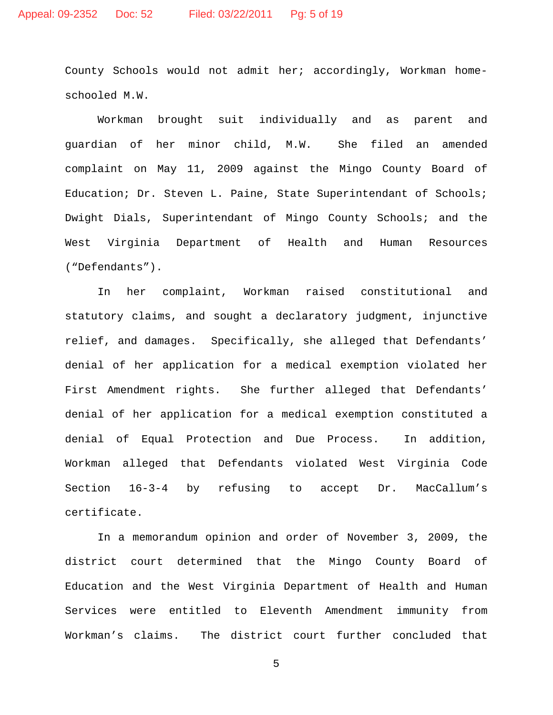County Schools would not admit her; accordingly, Workman homeschooled M.W.

Workman brought suit individually and as parent and guardian of her minor child, M.W. She filed an amended complaint on May 11, 2009 against the Mingo County Board of Education; Dr. Steven L. Paine, State Superintendant of Schools; Dwight Dials, Superintendant of Mingo County Schools; and the West Virginia Department of Health and Human Resources ("Defendants").

In her complaint, Workman raised constitutional and statutory claims, and sought a declaratory judgment, injunctive relief, and damages. Specifically, she alleged that Defendants' denial of her application for a medical exemption violated her First Amendment rights. She further alleged that Defendants' denial of her application for a medical exemption constituted a denial of Equal Protection and Due Process. In addition, Workman alleged that Defendants violated West Virginia Code Section 16-3-4 by refusing to accept Dr. MacCallum's certificate.

In a memorandum opinion and order of November 3, 2009, the district court determined that the Mingo County Board of Education and the West Virginia Department of Health and Human Services were entitled to Eleventh Amendment immunity from Workman's claims. The district court further concluded that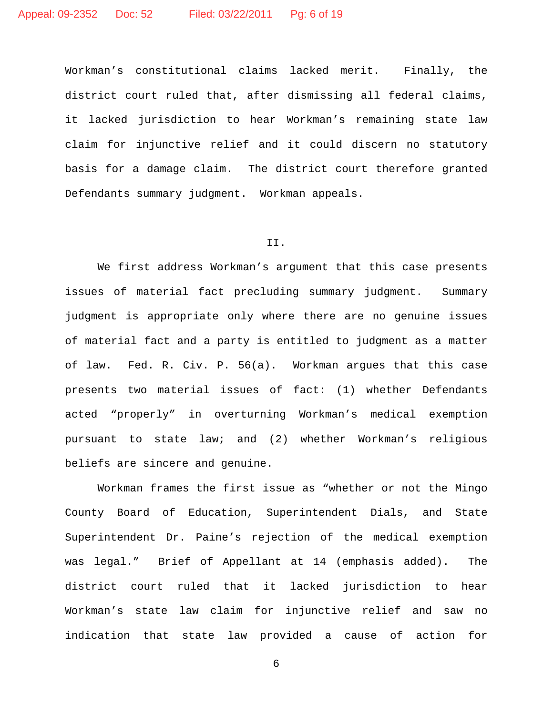Workman's constitutional claims lacked merit. Finally, the district court ruled that, after dismissing all federal claims, it lacked jurisdiction to hear Workman's remaining state law claim for injunctive relief and it could discern no statutory basis for a damage claim. The district court therefore granted Defendants summary judgment. Workman appeals.

# II.

We first address Workman's argument that this case presents issues of material fact precluding summary judgment. Summary judgment is appropriate only where there are no genuine issues of material fact and a party is entitled to judgment as a matter of law. Fed. R. Civ. P. 56(a). Workman argues that this case presents two material issues of fact: (1) whether Defendants acted "properly" in overturning Workman's medical exemption pursuant to state law; and (2) whether Workman's religious beliefs are sincere and genuine.

Workman frames the first issue as "whether or not the Mingo County Board of Education, Superintendent Dials, and State Superintendent Dr. Paine's rejection of the medical exemption was legal." Brief of Appellant at 14 (emphasis added). The district court ruled that it lacked jurisdiction to hear Workman's state law claim for injunctive relief and saw no indication that state law provided a cause of action for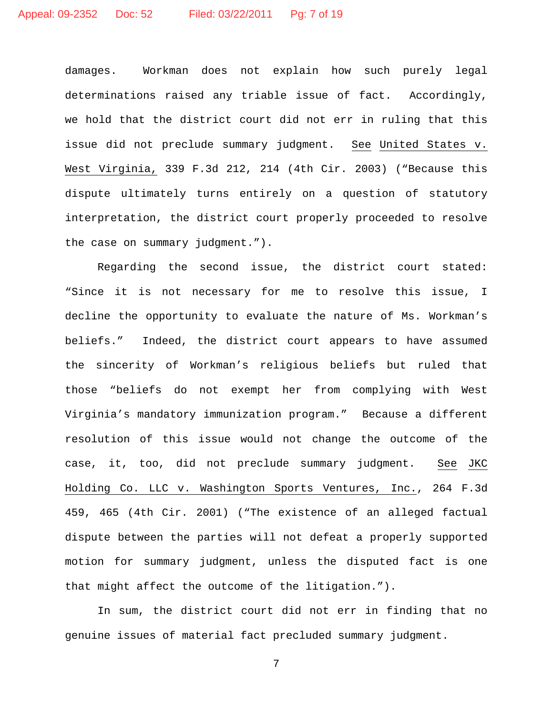damages. Workman does not explain how such purely legal determinations raised any triable issue of fact. Accordingly, we hold that the district court did not err in ruling that this issue did not preclude summary judgment. See United States v. West Virginia, 339 F.3d 212, 214 (4th Cir. 2003) ("Because this dispute ultimately turns entirely on a question of statutory interpretation, the district court properly proceeded to resolve the case on summary judgment.").

 Regarding the second issue, the district court stated: "Since it is not necessary for me to resolve this issue, I decline the opportunity to evaluate the nature of Ms. Workman's beliefs." Indeed, the district court appears to have assumed the sincerity of Workman's religious beliefs but ruled that those "beliefs do not exempt her from complying with West Virginia's mandatory immunization program." Because a different resolution of this issue would not change the outcome of the case, it, too, did not preclude summary judgment. See JKC Holding Co. LLC v. Washington Sports Ventures, Inc. , 264 F.3d 459, 465 (4th Cir. 2001) ("The existence of an alleged factual dispute between the parties will not defeat a properly supported motion for summary judgment, unless the disputed fact is one that might affect the outcome of the litigation.").

In sum, the district court did not err in finding that no genuine issues of material fact precluded summary judgment.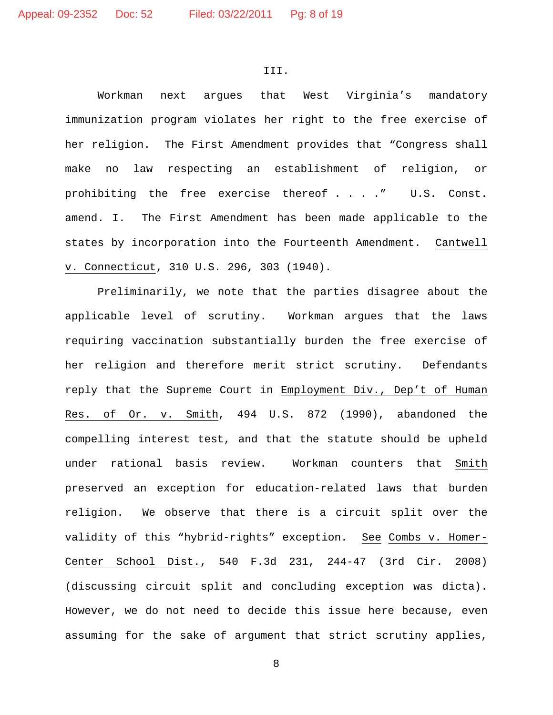#### III.

Workman next argues that West Virginia's mandatory immunization program violates her right to the free exercise of her religion. The First Amendment provides that "Congress shall make no law respecting an establishment of religion, or prohibiting the free exercise thereof . . . ." U.S. Const. amend. I. The First Amendment has been made applicable to the states by incorporation into the Fourteenth Amendment. Cantwell <u>v. Connecticut</u>, 310 U.S. 296, 303 (1940).

Preliminarily, we note that the parties disagree about the applicable level of scrutiny. Workman argues that the laws requiring vaccination substantially burden the free exercise of her religion and therefore merit strict scrutiny. Defendants reply that the Supreme Court in Employment Div., Dep't of Human Res. of Or. v. Smith, 494 U.S. 872 (1990), abandoned the compelling interest test, and that the statute should be upheld under rational basis review. Workman counters that Smith preserved an exception for education-related laws that burden religion. We observe that there is a circuit split over the validity of this "hybrid-rights" exception. See Combs v. Homer-Center School Dist., 540 F.3d 231, 244-47 (3rd Cir. 2008) (discussing circuit split and concluding exception was dicta). However, we do not need to decide this issue here because, even assuming for the sake of argument that strict scrutiny applies,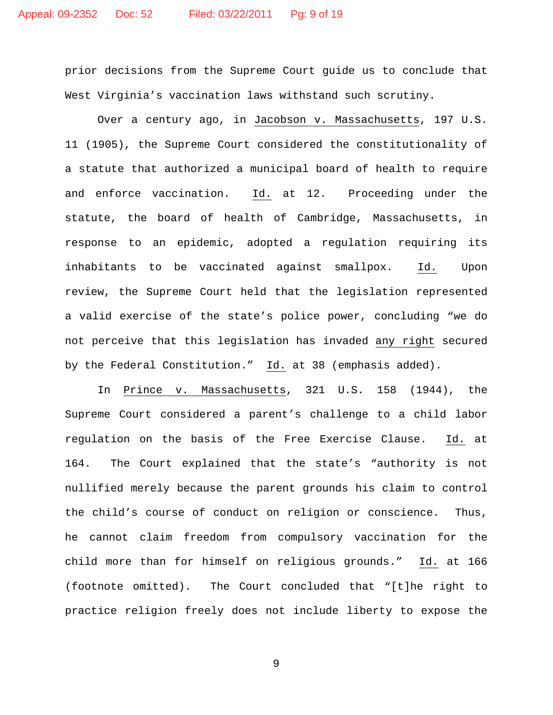prior decisions from the Supreme Court guide us to conclude that West Virginia's vaccination laws withstand such scrutiny.

Over a century ago, in Jacobson v. Massachusetts, 197 U.S. 11 (1905), the Supreme Court considered the constitutionality of a statute that authorized a municipal board of health to require and enforce vaccination. Id. at 12. Proceeding under the statute, the board of health of Cambridge, Massachusetts, in response to an epidemic, adopted a regulation requiring its inhabitants to be vaccinated against smallpox. Id. Upon review, the Supreme Court held that the legislation represented a valid exercise of the state's police power, concluding "we do not perceive that this legislation has invaded any right secured by the Federal Constitution." <u>Id.</u> at 38 (emphasis added).

In Prince v. Massachusetts, 321 U.S. 158 (1944), the Supreme Court considered a parent's challenge to a child labor regulation on the basis of the Free Exercise Clause. Id. at 164. The Court explained that the state's "authority is not nullified merely because the parent grounds his claim to control the child's course of conduct on religion or conscience. Thus, he cannot claim freedom from compulsory vaccination for the child more than for himself on religious grounds." Id. at 166 (footnote omitted). The Court concluded that "[t]he right to practice religion freely does not include liberty to expose the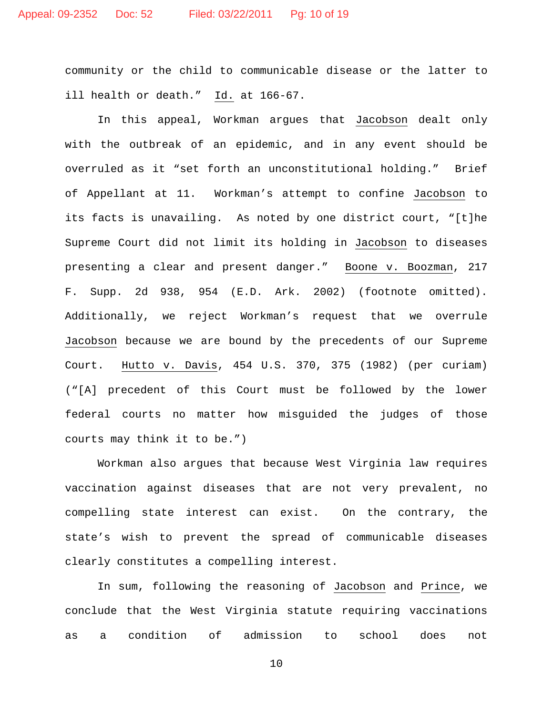community or the child to communicable disease or the latter to ill health or death." <u>Id.</u> at 166–67.

In this appeal, Workman argues that Jacobson dealt only with the outbreak of an epidemic, and in any event should be overruled as it "set forth an unconstitutional holding." Brief of Appellant at 11. Workman's attempt to confine Jacobson to its facts is unavailing. As noted by one district court, "[t]he Supreme Court did not limit its holding in Jacobson to diseases presenting a clear and present danger." Boone v. Boozman, 217 F. Supp. 2d 938, 954 (E.D. Ark. 2002) (footnote omitted). Additionally, we reject Workman's request that we overrule Jacobson because we are bound by the precedents of our Supreme Court. <u>Hutto v. Davis</u>, 454 U.S. 370, 375 (1982) (per curiam) ("[A] precedent of this Court must be followed by the lower federal courts no matter how misguided the judges of those courts may think it to be.")

Workman also argues that because West Virginia law requires vaccination against diseases that are not very prevalent, no compelling state interest can exist. On the contrary, the state's wish to prevent the spread of communicable diseases clearly constitutes a compelling interest.

In sum, following the reasoning of Jacobson and Prince, we conclude that the West Virginia statute requiring vaccinations as a condition of admission to school does not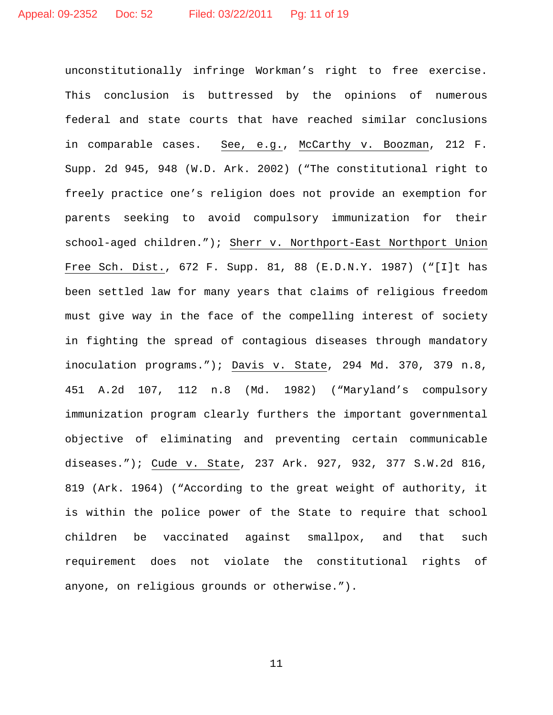unconstitutionally infringe Workman's right to free exercise. This conclusion is buttressed by the opinions of numerous federal and state courts that have reached similar conclusions in comparable cases. See, e.g., McCarthy v. Boozman, 212 F. Supp. 2d 945, 948 (W.D. Ark. 2002) ("The constitutional right to freely practice one's religion does not provide an exemption for parents seeking to avoid compulsory immunization for their school-aged children."); Sherr v. Northport-East Northport Union Free Sch. Dist., 672 F. Supp. 81, 88 (E.D.N.Y. 1987) ("[I]t has been settled law for many years that claims of religious freedom must give way in the face of the compelling interest of society in fighting the spread of contagious diseases through mandatory inoculation programs."); Davis v. State, 294 Md. 370, 379 n.8, 451 A.2d 107, 112 n.8 (Md. 1982) ("Maryland's compulsory immunization program clearly furthers the important governmental objective of eliminating and preventing certain communicable diseases."); Cude v. State, 237 Ark. 927, 932, 377 S.W.2d 816, 819 (Ark. 1964) ("According to the great weight of authority, it is within the police power of the State to require that school children be vaccinated against smallpox, and that such requirement does not violate the constitutional rights of anyone, on religious grounds or otherwise.").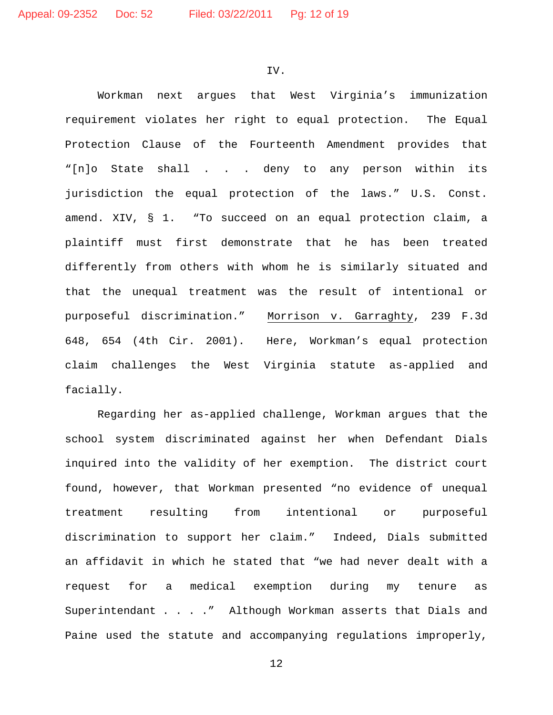IV.

Workman next argues that West Virginia's immunization requirement violates her right to equal protection. The Equal Protection Clause of the Fourteenth Amendment provides that "[n]o State shall . . . deny to any person within its jurisdiction the equal protection of the laws." U.S. Const. amend. XIV, § 1. "To succeed on an equal protection claim, a plaintiff must first demonstrate that he has been treated differently from others with whom he is similarly situated and that the unequal treatment was the result of intentional or purposeful discrimination." <u>Morrison v. Garraghty</u>, 239 F.3d 648, 654 (4th Cir. 2001). Here, Workman's equal protection claim challenges the West Virginia statute as-applied and facially.

Regarding her as-applied challenge, Workman argues that the school system discriminated against her when Defendant Dials inquired into the validity of her exemption. The district court found, however, that Workman presented "no evidence of unequal treatment resulting from intentional or purposeful discrimination to support her claim." Indeed, Dials submitted an affidavit in which he stated that "we had never dealt with a request for a medical exemption during my tenure as Superintendant . . . . " Although Workman asserts that Dials and Paine used the statute and accompanying regulations improperly,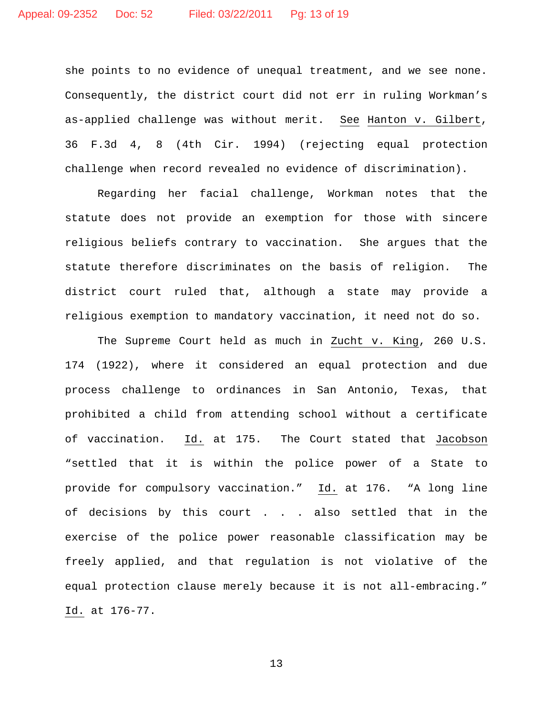she points to no evidence of unequal treatment, and we see none. Consequently, the district court did not err in ruling Workman's as-applied challenge was without merit. <u>See</u> <u>Hanton v. Gilbert</u>, 36 F.3d 4, 8 (4th Cir. 1994) (rejecting equal protection challenge when record revealed no evidence of discrimination).

Regarding her facial challenge, Workman notes that the statute does not provide an exemption for those with sincere religious beliefs contrary to vaccination. She argues that the statute therefore discriminates on the basis of religion. The district court ruled that, although a state may provide a religious exemption to mandatory vaccination, it need not do so.

The Supreme Court held as much in Zucht v. King, 260 U.S. 174 (1922), where it considered an equal protection and due process challenge to ordinances in San Antonio, Texas, that prohibited a child from attending school without a certificate of vaccination. Id. at 175. The Court stated that Jacobson "settled that it is within the police power of a State to provide for compulsory vaccination." Id. at 176. "A long line of decisions by this court . . . also settled that in the exercise of the police power reasonable classification may be freely applied, and that regulation is not violative of the equal protection clause merely because it is not all-embracing." Id. at 176-77.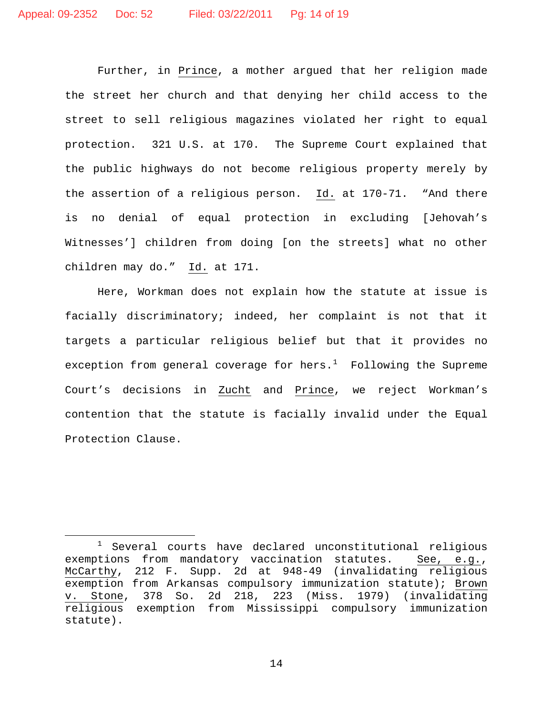Further, in Prince, a mother argued that her religion made the street her church and that denying her child access to the street to sell religious magazines violated her right to equal protection. 321 U.S. at 170. The Supreme Court explained that the public highways do not become religious property merely by the assertion of a religious person. Id. at 170-71. "And there is no denial of equal protection in excluding [Jehovah's Witnesses'] children from doing [on the streets] what no other children may do." <u>Id.</u> at 171.

Here, Workman does not explain how the statute at issue is facially discriminatory; indeed, her complaint is not that it targets a particular religious belief but that it provides no exception from general coverage for hers. [1](#page-13-0) Following the Supreme Court's decisions in Zucht and Prince, we reject Workman's contention that the statute is facially invalid under the Equal Protection Clause.

<span id="page-13-0"></span> $1$  Several courts have declared unconstitutional religious exemptions from mandatory vaccination statutes. See, e.g., McCarthy, 212 F. Supp. 2d at 948-49 (invalidating religious exemption from Arkansas compulsory immunization statute); Brown v. Stone, 378 So. 2d 218, 223 (Miss. 1979) (invalidating religious exemption from Mississippi compulsory immunization statute).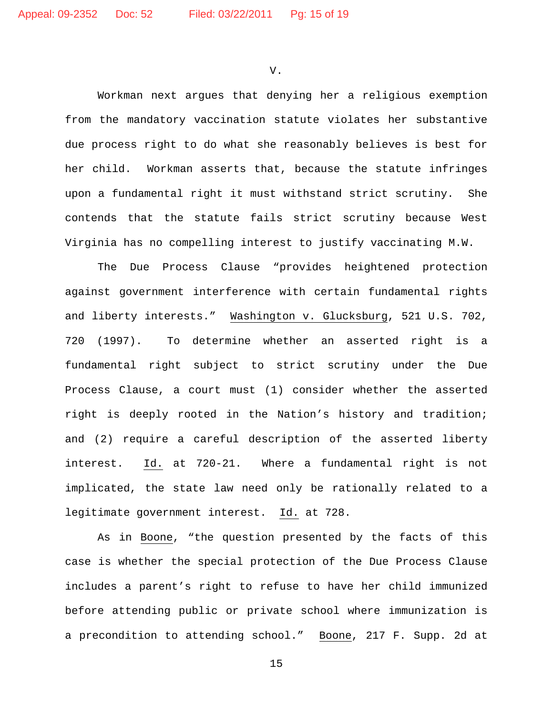V.

Workman next argues that denying her a religious exemption from the mandatory vaccination statute violates her substantive due process right to do what she reasonably believes is best for her child. Workman asserts that, because the statute infringes upon a fundamental right it must withstand strict scrutiny. She contends that the statute fails strict scrutiny because West Virginia has no compelling interest to justify vaccinating M.W.

The Due Process Clause "provides heightened protection against government interference with certain fundamental rights and liberty interests." Washington v. Glucksburg, 521 U.S. 702, 720 (1997). To determine whether an asserted right is a fundamental right subject to strict scrutiny under the Due Process Clause, a court must (1) consider whether the asserted right is deeply rooted in the Nation's history and tradition; and (2) require a careful description of the asserted liberty interest. Id. at 720-21. Where a fundamental right is not implicated, the state law need only be rationally related to a legitimate government interest. <u>Id.</u> at 728.

As in <u>Boone</u>, "the question presented by the facts of this case is whether the special protection of the Due Process Clause includes a parent's right to refuse to have her child immunized before attending public or private school where immunization is a precondition to attending school." Boone, 217 F. Supp. 2d at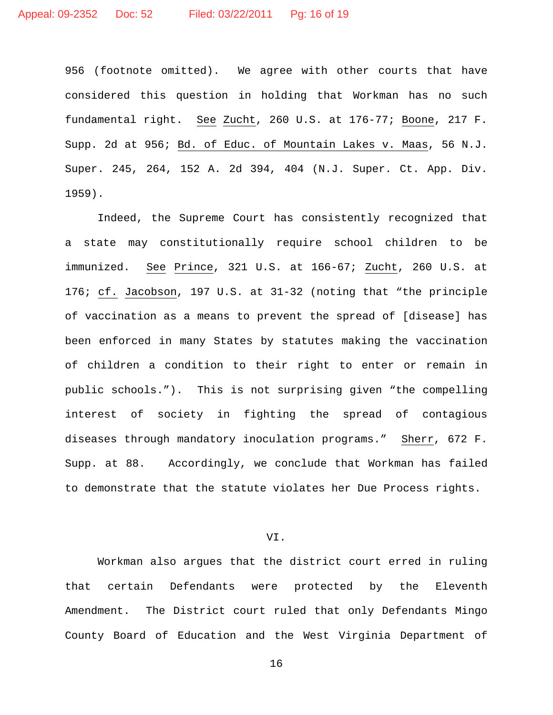956 (footnote omitted). We agree with other courts that have considered this question in holding that Workman has no such fundamental right. See Zucht, 260 U.S. at 176-77; Boone, 217 F. Supp. 2d at 956; <u>Bd. of Educ. of Mountain Lakes v. Maas</u>, 56 N.J. Super. 245, 264, 152 A. 2d 394, 404 (N.J. Super. Ct. App. Div. 1959).

Indeed, the Supreme Court has consistently recognized that a state may constitutionally require school children to be immunized. <u>See</u> Prince, 321 U.S. at 166-67; <u>Zucht</u>, 260 U.S. at 176; cf. Jacobson, 197 U.S. at 31-32 (noting that "the principle of vaccination as a means to prevent the spread of [disease] has been enforced in many States by statutes making the vaccination of children a condition to their right to enter or remain in public schools."). This is not surprising given "the compelling interest of society in fighting the spread of contagious diseases through mandatory inoculation programs." Sherr, 672 F. Supp. at 88. Accordingly, we conclude that Workman has failed to demonstrate that the statute violates her Due Process rights.

VI.

Workman also argues that the district court erred in ruling that certain Defendants were protected by the Eleventh Amendment. The District court ruled that only Defendants Mingo County Board of Education and the West Virginia Department of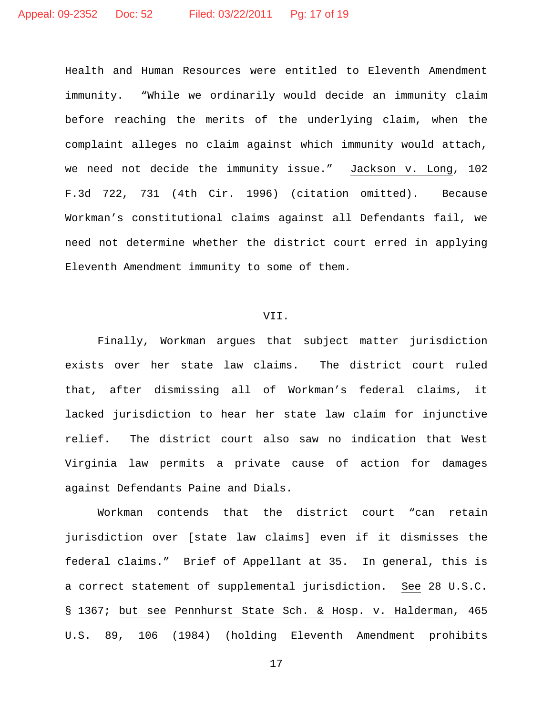Health and Human Resources were entitled to Eleventh Amendment immunity. "While we ordinarily would decide an immunity claim before reaching the merits of the underlying claim, when the complaint alleges no claim against which immunity would attach, we need not decide the immunity issue." Jackson v. Long, 102 F.3d 722, 731 (4th Cir. 1996) (citation omitted). Because Workman's constitutional claims against all Defendants fail, we need not determine whether the district court erred in applying Eleventh Amendment immunity to some of them.

## VII.

Finally, Workman argues that subject matter jurisdiction exists over her state law claims. The district court ruled that, after dismissing all of Workman's federal claims, it lacked jurisdiction to hear her state law claim for injunctive relief. The district court also saw no indication that West Virginia law permits a private cause of action for damages against Defendants Paine and Dials.

Workman contends that the district court "can retain jurisdiction over [state law claims] even if it dismisses the federal claims." Brief of Appellant at 35. In general, this is a correct statement of supplemental jurisdiction. See 28 U.S.C. § 1367; but see Pennhurst State Sch. & Hosp. v. Halderman, 465 U.S. 89, 106 (1984) (holding Eleventh Amendment prohibits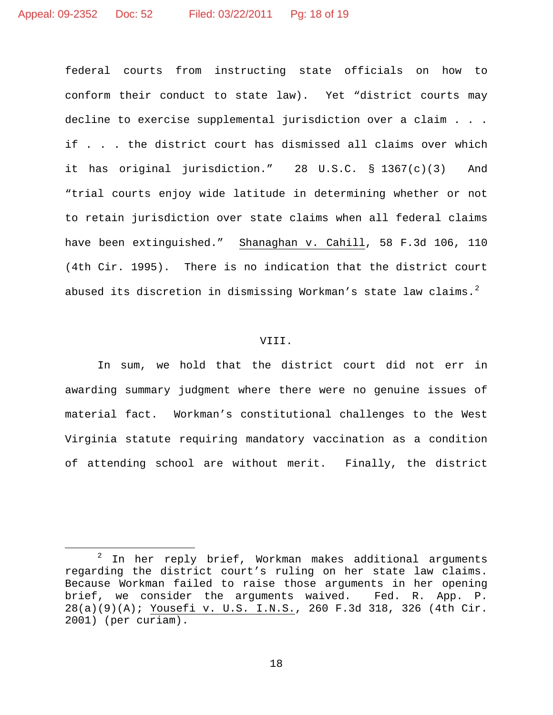federal courts from instructing state officials on how to conform their conduct to state law). Yet "district courts may decline to exercise supplemental jurisdiction over a claim . . . if . . . the district court has dismissed all claims over which it has original jurisdiction." 28 U.S.C. § 1367(c)(3) And "trial courts enjoy wide latitude in determining whether or not to retain jurisdiction over state claims when all federal claims have been extinguished." Shanaghan v. Cahill, 58 F.3d 106, 110 (4th Cir. 1995). There is no indication that the district court abused its discretion in dismissing Workman's state law claims.<sup>[2](#page-17-0)</sup>

# VIII.

In sum, we hold that the district court did not err in awarding summary judgment where there were no genuine issues of material fact. Workman's constitutional challenges to the West Virginia statute requiring mandatory vaccination as a condition of attending school are without merit. Finally, the district

<span id="page-17-0"></span> $2$  In her reply brief, Workman makes additional arguments regarding the district court's ruling on her state law claims. Because Workman failed to raise those arguments in her opening brief, we consider the arguments waived. Fed. R. App. P. 28(a)(9)(A); Yousefi v. U.S. I.N.S., 260 F.3d 318, 326 (4th Cir. 2001) (per curiam).